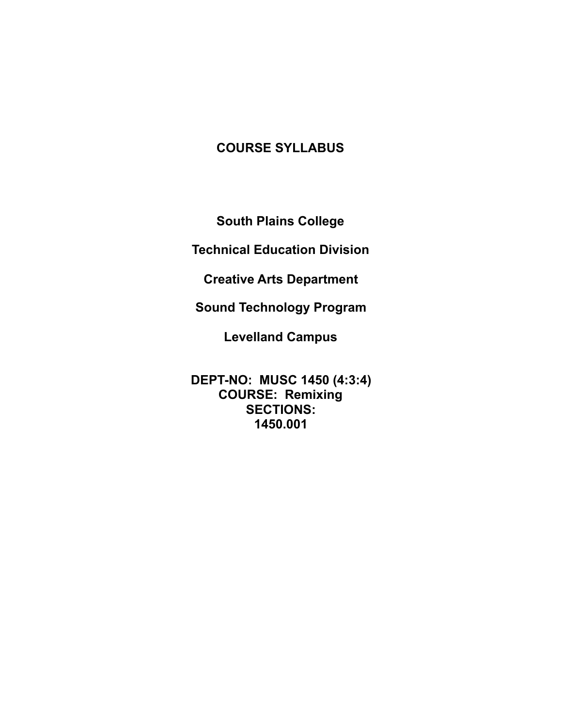# **COURSE SYLLABUS**

**South Plains College** 

**Technical Education Division** 

**Creative Arts Department** 

**Sound Technology Program** 

**Levelland Campus** 

**DEPT-NO: MUSC 1450 (4:3:4) COURSE: Remixing SECTIONS: 1450.001**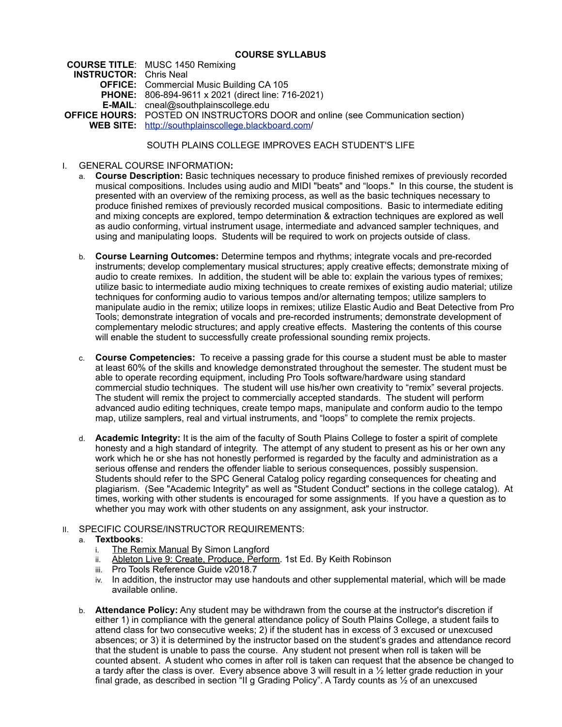### **COURSE SYLLABUS**

**COURSE TITLE**: MUSC 1450 Remixing **INSTRUCTOR:** Chris Neal **OFFICE:** Commercial Music Building CA 105 **PHONE:** 806-894-9611 x 2021 (direct line: 716-2021) **E-MAIL**: cneal@southplainscollege.edu **OFFICE HOURS:** POSTED ON INSTRUCTORS DOOR and online (see Communication section) **WEB SITE:** [http://southplainscollege.blackboard.com/](http://southplainscollege.blackboard.com)

# SOUTH PLAINS COLLEGE IMPROVES EACH STUDENT'S LIFE

- I. GENERAL COURSE INFORMATION**:** 
	- a. **Course Description:** Basic techniques necessary to produce finished remixes of previously recorded musical compositions. Includes using audio and MIDI "beats" and "loops." In this course, the student is presented with an overview of the remixing process, as well as the basic techniques necessary to produce finished remixes of previously recorded musical compositions. Basic to intermediate editing and mixing concepts are explored, tempo determination & extraction techniques are explored as well as audio conforming, virtual instrument usage, intermediate and advanced sampler techniques, and using and manipulating loops. Students will be required to work on projects outside of class.
	- b. **Course Learning Outcomes:** Determine tempos and rhythms; integrate vocals and pre-recorded instruments; develop complementary musical structures; apply creative effects; demonstrate mixing of audio to create remixes. In addition, the student will be able to: explain the various types of remixes; utilize basic to intermediate audio mixing techniques to create remixes of existing audio material; utilize techniques for conforming audio to various tempos and/or alternating tempos; utilize samplers to manipulate audio in the remix; utilize loops in remixes; utilize Elastic Audio and Beat Detective from Pro Tools; demonstrate integration of vocals and pre-recorded instruments; demonstrate development of complementary melodic structures; and apply creative effects. Mastering the contents of this course will enable the student to successfully create professional sounding remix projects.
	- c. **Course Competencies:** To receive a passing grade for this course a student must be able to master at least 60% of the skills and knowledge demonstrated throughout the semester. The student must be able to operate recording equipment, including Pro Tools software/hardware using standard commercial studio techniques. The student will use his/her own creativity to "remix" several projects. The student will remix the project to commercially accepted standards. The student will perform advanced audio editing techniques, create tempo maps, manipulate and conform audio to the tempo map, utilize samplers, real and virtual instruments, and "loops" to complete the remix projects.
	- d. **Academic Integrity:** It is the aim of the faculty of South Plains College to foster a spirit of complete honesty and a high standard of integrity. The attempt of any student to present as his or her own any work which he or she has not honestly performed is regarded by the faculty and administration as a serious offense and renders the offender liable to serious consequences, possibly suspension. Students should refer to the SPC General Catalog policy regarding consequences for cheating and plagiarism. (See "Academic Integrity" as well as "Student Conduct" sections in the college catalog). At times, working with other students is encouraged for some assignments. If you have a question as to whether you may work with other students on any assignment, ask your instructor.

# II. SPECIFIC COURSE/INSTRUCTOR REQUIREMENTS:

- a. **Textbooks**:
	- i. The Remix Manual By Simon Langford
	- ii. Ableton Live 9: Create, Produce, Perform. 1st Ed. By Keith Robinson
	- iii. Pro Tools Reference Guide v2018.7
	- iv. In addition, the instructor may use handouts and other supplemental material, which will be made available online.
- b. **Attendance Policy:** Any student may be withdrawn from the course at the instructor's discretion if either 1) in compliance with the general attendance policy of South Plains College, a student fails to attend class for two consecutive weeks; 2) if the student has in excess of 3 excused or unexcused absences; or 3) it is determined by the instructor based on the student's grades and attendance record that the student is unable to pass the course. Any student not present when roll is taken will be counted absent. A student who comes in after roll is taken can request that the absence be changed to a tardy after the class is over. Every absence above 3 will result in a  $\frac{1}{2}$  letter grade reduction in your final grade, as described in section "II g Grading Policy". A Tardy counts as ½ of an unexcused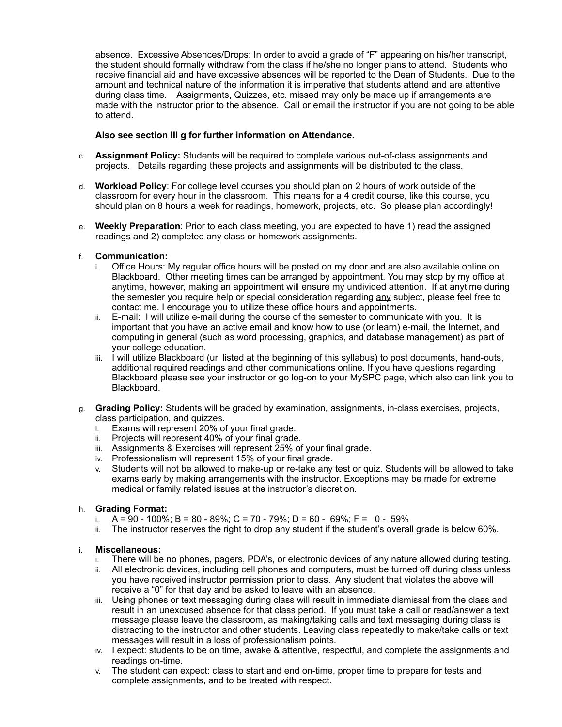absence. Excessive Absences/Drops: In order to avoid a grade of "F" appearing on his/her transcript, the student should formally withdraw from the class if he/she no longer plans to attend. Students who receive financial aid and have excessive absences will be reported to the Dean of Students. Due to the amount and technical nature of the information it is imperative that students attend and are attentive during class time. Assignments, Quizzes, etc. missed may only be made up if arrangements are made with the instructor prior to the absence. Call or email the instructor if you are not going to be able to attend.

## **Also see section III g for further information on Attendance.**

- c. **Assignment Policy:** Students will be required to complete various out-of-class assignments and projects. Details regarding these projects and assignments will be distributed to the class.
- d. **Workload Policy**: For college level courses you should plan on 2 hours of work outside of the classroom for every hour in the classroom. This means for a 4 credit course, like this course, you should plan on 8 hours a week for readings, homework, projects, etc. So please plan accordingly!
- e. **Weekly Preparation**: Prior to each class meeting, you are expected to have 1) read the assigned readings and 2) completed any class or homework assignments.

# f. **Communication:**

- i. Office Hours: My regular office hours will be posted on my door and are also available online on Blackboard. Other meeting times can be arranged by appointment. You may stop by my office at anytime, however, making an appointment will ensure my undivided attention. If at anytime during the semester you require help or special consideration regarding any subject, please feel free to contact me. I encourage you to utilize these office hours and appointments.
- ii. E-mail: I will utilize e-mail during the course of the semester to communicate with you. It is important that you have an active email and know how to use (or learn) e-mail, the Internet, and computing in general (such as word processing, graphics, and database management) as part of your college education.
- iii. I will utilize Blackboard (url listed at the beginning of this syllabus) to post documents, hand-outs, additional required readings and other communications online. If you have questions regarding Blackboard please see your instructor or go log-on to your MySPC page, which also can link you to Blackboard.
- g. **Grading Policy:** Students will be graded by examination, assignments, in-class exercises, projects, class participation, and quizzes.
	- i. Exams will represent 20% of your final grade.
	- ii. Projects will represent 40% of your final grade.
	- iii. Assignments & Exercises will represent 25% of your final grade.
	- iv. Professionalism will represent 15% of your final grade.
	- v. Students will not be allowed to make-up or re-take any test or quiz. Students will be allowed to take exams early by making arrangements with the instructor. Exceptions may be made for extreme medical or family related issues at the instructor's discretion.

### h. **Grading Format:**

- i. A = 90 100%; B = 80 89%; C = 70 79%; D = 60 69%; F = 0 59%
- ii. The instructor reserves the right to drop any student if the student's overall grade is below 60%.

### i. **Miscellaneous:**

- i. There will be no phones, pagers, PDA's, or electronic devices of any nature allowed during testing.
- ii. All electronic devices, including cell phones and computers, must be turned off during class unless you have received instructor permission prior to class. Any student that violates the above will receive a "0" for that day and be asked to leave with an absence.
- iii. Using phones or text messaging during class will result in immediate dismissal from the class and result in an unexcused absence for that class period. If you must take a call or read/answer a text message please leave the classroom, as making/taking calls and text messaging during class is distracting to the instructor and other students. Leaving class repeatedly to make/take calls or text messages will result in a loss of professionalism points.
- iv. I expect: students to be on time, awake & attentive, respectful, and complete the assignments and readings on-time.
- v. The student can expect: class to start and end on-time, proper time to prepare for tests and complete assignments, and to be treated with respect.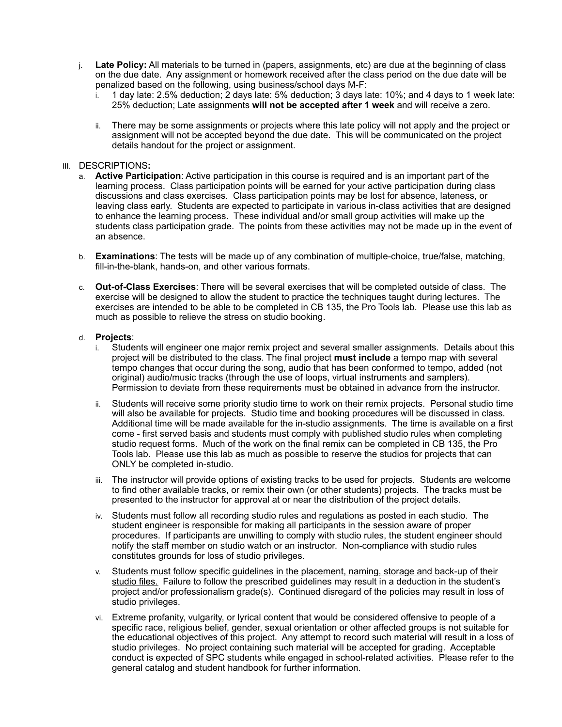- j. **Late Policy:** All materials to be turned in (papers, assignments, etc) are due at the beginning of class on the due date. Any assignment or homework received after the class period on the due date will be penalized based on the following, using business/school days M-F:
	- i. 1 day late: 2.5% deduction; 2 days late: 5% deduction; 3 days late: 10%; and 4 days to 1 week late: 25% deduction; Late assignments **will not be accepted after 1 week** and will receive a zero.
	- ii. There may be some assignments or projects where this late policy will not apply and the project or assignment will not be accepted beyond the due date. This will be communicated on the project details handout for the project or assignment.

#### III. DESCRIPTIONS**:**

- a. **Active Participation**: Active participation in this course is required and is an important part of the learning process. Class participation points will be earned for your active participation during class discussions and class exercises. Class participation points may be lost for absence, lateness, or leaving class early. Students are expected to participate in various in-class activities that are designed to enhance the learning process. These individual and/or small group activities will make up the students class participation grade. The points from these activities may not be made up in the event of an absence.
- b. **Examinations**: The tests will be made up of any combination of multiple-choice, true/false, matching, fill-in-the-blank, hands-on, and other various formats.
- c. **Out-of-Class Exercises**: There will be several exercises that will be completed outside of class. The exercise will be designed to allow the student to practice the techniques taught during lectures. The exercises are intended to be able to be completed in CB 135, the Pro Tools lab. Please use this lab as much as possible to relieve the stress on studio booking.

#### d. **Projects**:

- i. Students will engineer one major remix project and several smaller assignments. Details about this project will be distributed to the class. The final project **must include** a tempo map with several tempo changes that occur during the song, audio that has been conformed to tempo, added (not original) audio/music tracks (through the use of loops, virtual instruments and samplers). Permission to deviate from these requirements must be obtained in advance from the instructor.
- ii. Students will receive some priority studio time to work on their remix projects. Personal studio time will also be available for projects. Studio time and booking procedures will be discussed in class. Additional time will be made available for the in-studio assignments. The time is available on a first come - first served basis and students must comply with published studio rules when completing studio request forms. Much of the work on the final remix can be completed in CB 135, the Pro Tools lab. Please use this lab as much as possible to reserve the studios for projects that can ONLY be completed in-studio.
- iii. The instructor will provide options of existing tracks to be used for projects. Students are welcome to find other available tracks, or remix their own (or other students) projects. The tracks must be presented to the instructor for approval at or near the distribution of the project details.
- iv. Students must follow all recording studio rules and regulations as posted in each studio. The student engineer is responsible for making all participants in the session aware of proper procedures. If participants are unwilling to comply with studio rules, the student engineer should notify the staff member on studio watch or an instructor. Non-compliance with studio rules constitutes grounds for loss of studio privileges.
- v. Students must follow specific guidelines in the placement, naming, storage and back-up of their studio files. Failure to follow the prescribed guidelines may result in a deduction in the student's project and/or professionalism grade(s). Continued disregard of the policies may result in loss of studio privileges.
- vi. Extreme profanity, vulgarity, or lyrical content that would be considered offensive to people of a specific race, religious belief, gender, sexual orientation or other affected groups is not suitable for the educational objectives of this project. Any attempt to record such material will result in a loss of studio privileges. No project containing such material will be accepted for grading. Acceptable conduct is expected of SPC students while engaged in school-related activities. Please refer to the general catalog and student handbook for further information.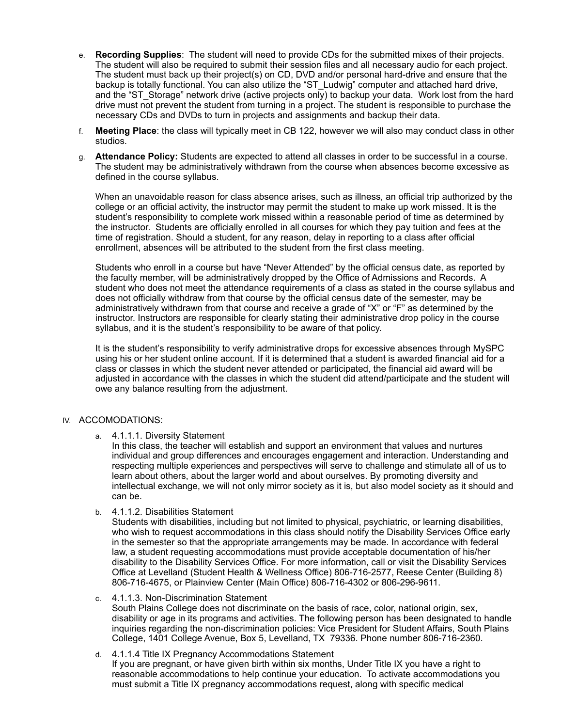- e. **Recording Supplies**: The student will need to provide CDs for the submitted mixes of their projects. The student will also be required to submit their session files and all necessary audio for each project. The student must back up their project(s) on CD, DVD and/or personal hard-drive and ensure that the backup is totally functional. You can also utilize the "ST\_Ludwig" computer and attached hard drive, and the "ST\_Storage" network drive (active projects only) to backup your data. Work lost from the hard drive must not prevent the student from turning in a project. The student is responsible to purchase the necessary CDs and DVDs to turn in projects and assignments and backup their data.
- f. **Meeting Place**: the class will typically meet in CB 122, however we will also may conduct class in other studios.
- g. **Attendance Policy:** Students are expected to attend all classes in order to be successful in a course. The student may be administratively withdrawn from the course when absences become excessive as defined in the course syllabus.

When an unavoidable reason for class absence arises, such as illness, an official trip authorized by the college or an official activity, the instructor may permit the student to make up work missed. It is the student's responsibility to complete work missed within a reasonable period of time as determined by the instructor. Students are officially enrolled in all courses for which they pay tuition and fees at the time of registration. Should a student, for any reason, delay in reporting to a class after official enrollment, absences will be attributed to the student from the first class meeting.

Students who enroll in a course but have "Never Attended" by the official census date, as reported by the faculty member, will be administratively dropped by the Office of Admissions and Records. A student who does not meet the attendance requirements of a class as stated in the course syllabus and does not officially withdraw from that course by the official census date of the semester, may be administratively withdrawn from that course and receive a grade of "X" or "F" as determined by the instructor. Instructors are responsible for clearly stating their administrative drop policy in the course syllabus, and it is the student's responsibility to be aware of that policy.

It is the student's responsibility to verify administrative drops for excessive absences through MySPC using his or her student online account. If it is determined that a student is awarded financial aid for a class or classes in which the student never attended or participated, the financial aid award will be adjusted in accordance with the classes in which the student did attend/participate and the student will owe any balance resulting from the adjustment.

### IV. ACCOMODATIONS:

a. 4.1.1.1. Diversity Statement

In this class, the teacher will establish and support an environment that values and nurtures individual and group differences and encourages engagement and interaction. Understanding and respecting multiple experiences and perspectives will serve to challenge and stimulate all of us to learn about others, about the larger world and about ourselves. By promoting diversity and intellectual exchange, we will not only mirror society as it is, but also model society as it should and can be.

b. 4.1.1.2. Disabilities Statement

Students with disabilities, including but not limited to physical, psychiatric, or learning disabilities, who wish to request accommodations in this class should notify the Disability Services Office early in the semester so that the appropriate arrangements may be made. In accordance with federal law, a student requesting accommodations must provide acceptable documentation of his/her disability to the Disability Services Office. For more information, call or visit the Disability Services Office at Levelland (Student Health & Wellness Office) 806-716-2577, Reese Center (Building 8) 806-716-4675, or Plainview Center (Main Office) 806-716-4302 or 806-296-9611.

#### c. 4.1.1.3. Non-Discrimination Statement

South Plains College does not discriminate on the basis of race, color, national origin, sex, disability or age in its programs and activities. The following person has been designated to handle inquiries regarding the non-discrimination policies: Vice President for Student Affairs, South Plains College, 1401 College Avenue, Box 5, Levelland, TX 79336. Phone number 806-716-2360.

d. 4.1.1.4 Title IX Pregnancy Accommodations Statement If you are pregnant, or have given birth within six months, Under Title IX you have a right to reasonable accommodations to help continue your education. To activate accommodations you must submit a Title IX pregnancy accommodations request, along with specific medical